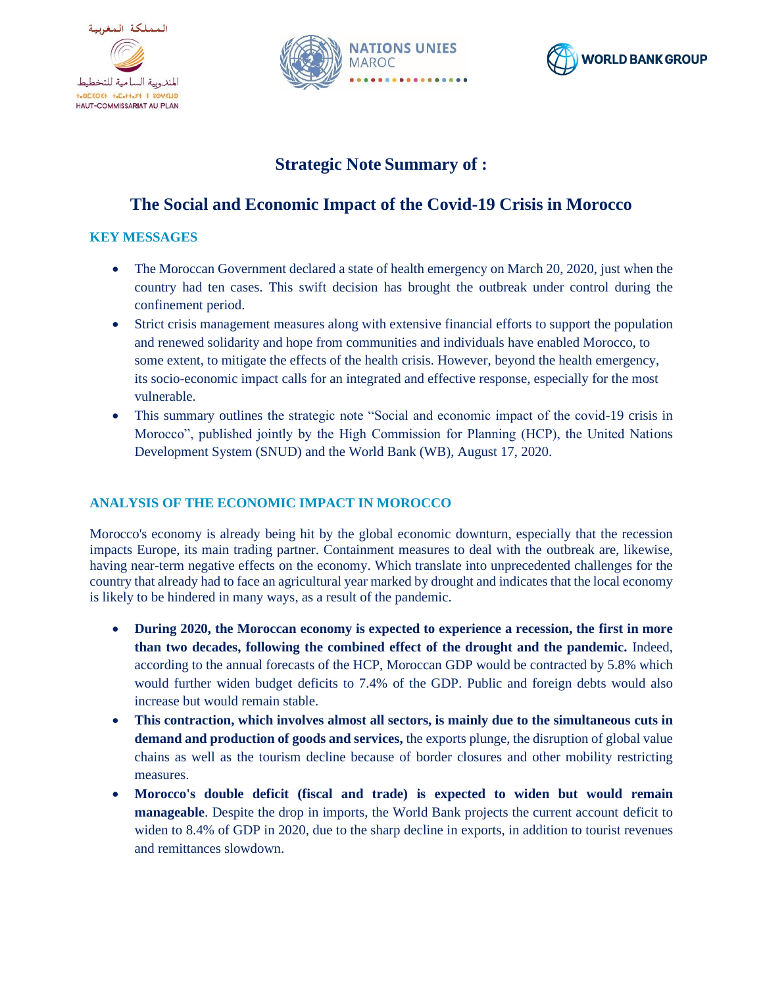





# **Strategic Note Summary of :**

# **The Social and Economic Impact of the Covid-19 Crisis in Morocco**

### **KEY MESSAGES**

- The Moroccan Government declared a state of health emergency on March 20, 2020, just when the country had ten cases. This swift decision has brought the outbreak under control during the confinement period.
- Strict crisis management measures along with extensive financial efforts to support the population and renewed solidarity and hope from communities and individuals have enabled Morocco, to some extent, to mitigate the effects of the health crisis. However, beyond the health emergency, its socio-economic impact calls for an integrated and effective response, especially for the most vulnerable.
- This summary outlines the strategic note "Social and economic impact of the covid-19 crisis in Morocco", published jointly by the High Commission for Planning (HCP), the United Nations Development System (SNUD) and the World Bank (WB), August 17, 2020.

## **ANALYSIS OF THE ECONOMIC IMPACT IN MOROCCO**

Morocco's economy is already being hit by the global economic downturn, especially that the recession impacts Europe, its main trading partner. Containment measures to deal with the outbreak are, likewise, having near-term negative effects on the economy. Which translate into unprecedented challenges for the country that already had to face an agricultural year marked by drought and indicates that the local economy is likely to be hindered in many ways, as a result of the pandemic.

- **During 2020, the Moroccan economy is expected to experience a recession, the first in more than two decades, following the combined effect of the drought and the pandemic.** Indeed, according to the annual forecasts of the HCP, Moroccan GDP would be contracted by 5.8% which would further widen budget deficits to 7.4% of the GDP. Public and foreign debts would also increase but would remain stable.
- **This contraction, which involves almost all sectors, is mainly due to the simultaneous cuts in demand and production of goods and services,** the exports plunge, the disruption of global value chains as well as the tourism decline because of border closures and other mobility restricting measures.
- **Morocco's double deficit (fiscal and trade) is expected to widen but would remain manageable**. Despite the drop in imports, the World Bank projects the current account deficit to widen to 8.4% of GDP in 2020, due to the sharp decline in exports, in addition to tourist revenues and remittances slowdown.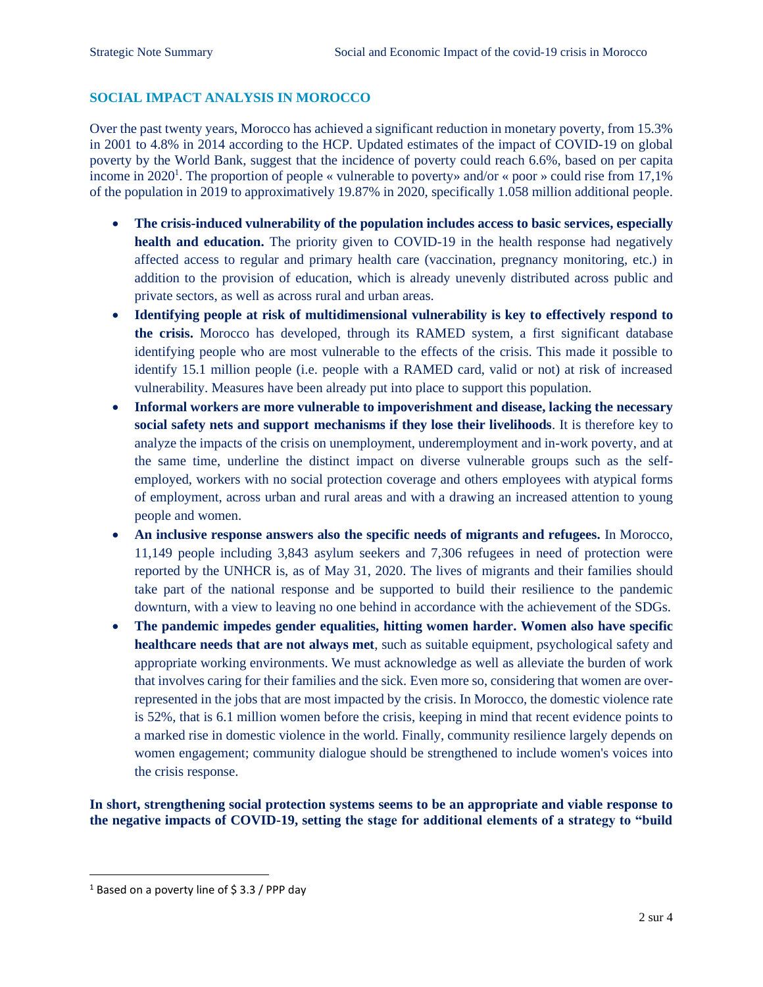### **SOCIAL IMPACT ANALYSIS IN MOROCCO**

Over the past twenty years, Morocco has achieved a significant reduction in monetary poverty, from 15.3% in 2001 to 4.8% in 2014 according to the HCP. Updated estimates of the impact of COVID-19 on global poverty by the World Bank, suggest that the incidence of poverty could reach 6.6%, based on per capita income in 2020<sup>1</sup>. The proportion of people « vulnerable to poverty» and/or « poor » could rise from 17,1% of the population in 2019 to approximatively 19.87% in 2020, specifically 1.058 million additional people.

- **The crisis-induced vulnerability of the population includes access to basic services, especially health and education.** The priority given to COVID-19 in the health response had negatively affected access to regular and primary health care (vaccination, pregnancy monitoring, etc.) in addition to the provision of education, which is already unevenly distributed across public and private sectors, as well as across rural and urban areas.
- **Identifying people at risk of multidimensional vulnerability is key to effectively respond to the crisis.** Morocco has developed, through its RAMED system, a first significant database identifying people who are most vulnerable to the effects of the crisis. This made it possible to identify 15.1 million people (i.e. people with a RAMED card, valid or not) at risk of increased vulnerability. Measures have been already put into place to support this population.
- **Informal workers are more vulnerable to impoverishment and disease, lacking the necessary social safety nets and support mechanisms if they lose their livelihoods**. It is therefore key to analyze the impacts of the crisis on unemployment, underemployment and in-work poverty, and at the same time, underline the distinct impact on diverse vulnerable groups such as the selfemployed, workers with no social protection coverage and others employees with atypical forms of employment, across urban and rural areas and with a drawing an increased attention to young people and women.
- **An inclusive response answers also the specific needs of migrants and refugees.** In Morocco, 11,149 people including 3,843 asylum seekers and 7,306 refugees in need of protection were reported by the UNHCR is, as of May 31, 2020. The lives of migrants and their families should take part of the national response and be supported to build their resilience to the pandemic downturn, with a view to leaving no one behind in accordance with the achievement of the SDGs.
- **The pandemic impedes gender equalities, hitting women harder. Women also have specific healthcare needs that are not always met**, such as suitable equipment, psychological safety and appropriate working environments. We must acknowledge as well as alleviate the burden of work that involves caring for their families and the sick. Even more so, considering that women are overrepresented in the jobs that are most impacted by the crisis. In Morocco, the domestic violence rate is 52%, that is 6.1 million women before the crisis, keeping in mind that recent evidence points to a marked rise in domestic violence in the world. Finally, community resilience largely depends on women engagement; community dialogue should be strengthened to include women's voices into the crisis response.

**In short, strengthening social protection systems seems to be an appropriate and viable response to the negative impacts of COVID-19, setting the stage for additional elements of a strategy to "build** 

 $1$  Based on a poverty line of \$3.3 / PPP day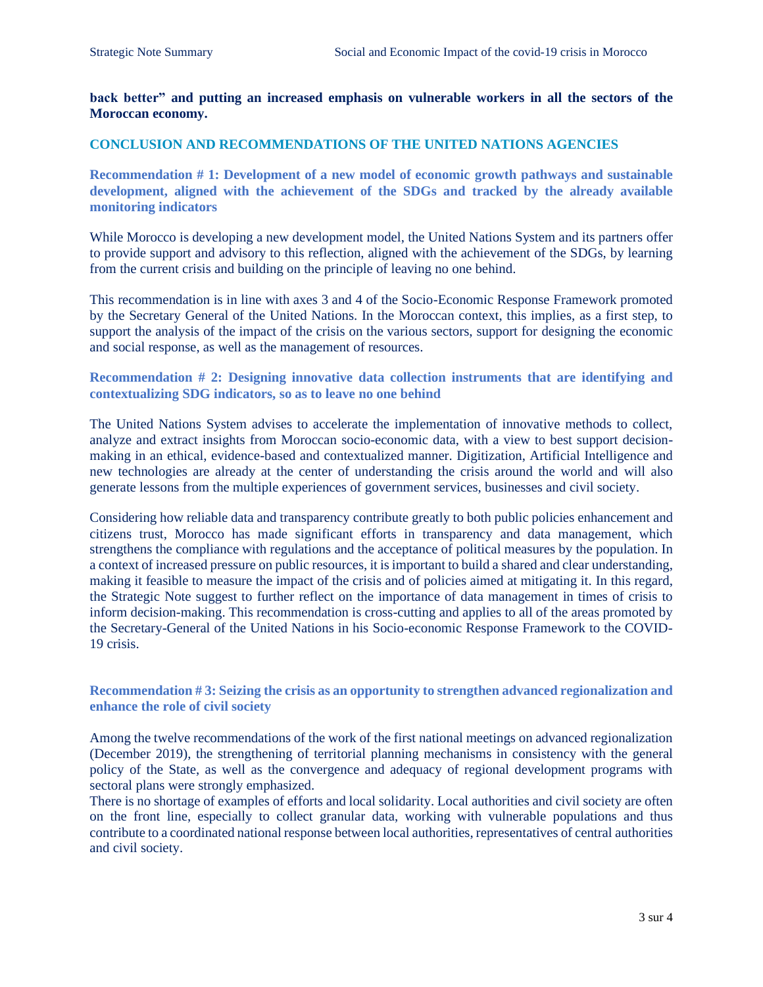#### **back better" and putting an increased emphasis on vulnerable workers in all the sectors of the Moroccan economy.**

#### **CONCLUSION AND RECOMMENDATIONS OF THE UNITED NATIONS AGENCIES**

**Recommendation # 1: Development of a new model of economic growth pathways and sustainable development, aligned with the achievement of the SDGs and tracked by the already available monitoring indicators**

While Morocco is developing a new development model, the United Nations System and its partners offer to provide support and advisory to this reflection, aligned with the achievement of the SDGs, by learning from the current crisis and building on the principle of leaving no one behind.

This recommendation is in line with axes 3 and 4 of the Socio-Economic Response Framework promoted by the Secretary General of the United Nations. In the Moroccan context, this implies, as a first step, to support the analysis of the impact of the crisis on the various sectors, support for designing the economic and social response, as well as the management of resources.

#### **Recommendation # 2: Designing innovative data collection instruments that are identifying and contextualizing SDG indicators, so as to leave no one behind**

The United Nations System advises to accelerate the implementation of innovative methods to collect, analyze and extract insights from Moroccan socio-economic data, with a view to best support decisionmaking in an ethical, evidence-based and contextualized manner. Digitization, Artificial Intelligence and new technologies are already at the center of understanding the crisis around the world and will also generate lessons from the multiple experiences of government services, businesses and civil society.

Considering how reliable data and transparency contribute greatly to both public policies enhancement and citizens trust, Morocco has made significant efforts in transparency and data management, which strengthens the compliance with regulations and the acceptance of political measures by the population. In a context of increased pressure on public resources, it is important to build a shared and clear understanding, making it feasible to measure the impact of the crisis and of policies aimed at mitigating it. In this regard, the Strategic Note suggest to further reflect on the importance of data management in times of crisis to inform decision-making. This recommendation is cross-cutting and applies to all of the areas promoted by the Secretary-General of the United Nations in his Socio-economic Response Framework to the COVID-19 crisis.

#### **Recommendation # 3: Seizing the crisis as an opportunity to strengthen advanced regionalization and enhance the role of civil society**

Among the twelve recommendations of the work of the first national meetings on advanced regionalization (December 2019), the strengthening of territorial planning mechanisms in consistency with the general policy of the State, as well as the convergence and adequacy of regional development programs with sectoral plans were strongly emphasized.

There is no shortage of examples of efforts and local solidarity. Local authorities and civil society are often on the front line, especially to collect granular data, working with vulnerable populations and thus contribute to a coordinated national response between local authorities, representatives of central authorities and civil society.